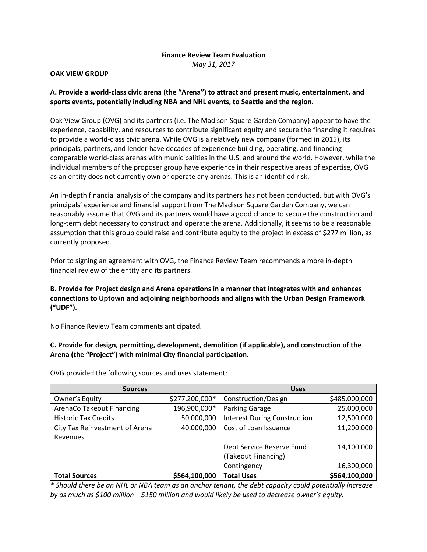## **Finance Review Team Evaluation**

*May 31, 2017*

#### **OAK VIEW GROUP**

## **A. Provide a world-class civic arena (the "Arena") to attract and present music, entertainment, and sports events, potentially including NBA and NHL events, to Seattle and the region.**

Oak View Group (OVG) and its partners (i.e. The Madison Square Garden Company) appear to have the experience, capability, and resources to contribute significant equity and secure the financing it requires to provide a world-class civic arena. While OVG is a relatively new company (formed in 2015), its principals, partners, and lender have decades of experience building, operating, and financing comparable world-class arenas with municipalities in the U.S. and around the world. However, while the individual members of the proposer group have experience in their respective areas of expertise, OVG as an entity does not currently own or operate any arenas. This is an identified risk.

An in-depth financial analysis of the company and its partners has not been conducted, but with OVG's principals' experience and financial support from The Madison Square Garden Company, we can reasonably assume that OVG and its partners would have a good chance to secure the construction and long-term debt necessary to construct and operate the arena. Additionally, it seems to be a reasonable assumption that this group could raise and contribute equity to the project in excess of \$277 million, as currently proposed.

Prior to signing an agreement with OVG, the Finance Review Team recommends a more in-depth financial review of the entity and its partners.

**B. Provide for Project design and Arena operations in a manner that integrates with and enhances connections to Uptown and adjoining neighborhoods and aligns with the Urban Design Framework ("UDF").**

No Finance Review Team comments anticipated.

**C. Provide for design, permitting, development, demolition (if applicable), and construction of the Arena (the "Project") with minimal City financial participation.**

| <b>Sources</b>                   |                | <b>Uses</b>                         |               |
|----------------------------------|----------------|-------------------------------------|---------------|
| Owner's Equity                   | \$277,200,000* | Construction/Design                 | \$485,000,000 |
| <b>ArenaCo Takeout Financing</b> | 196,900,000*   | Parking Garage                      | 25,000,000    |
| <b>Historic Tax Credits</b>      | 50,000,000     | <b>Interest During Construction</b> | 12,500,000    |
| City Tax Reinvestment of Arena   | 40,000,000     | Cost of Loan Issuance               | 11,200,000    |
| Revenues                         |                |                                     |               |
|                                  |                | Debt Service Reserve Fund           | 14,100,000    |
|                                  |                | (Takeout Financing)                 |               |
|                                  |                | Contingency                         | 16,300,000    |
| <b>Total Sources</b>             | \$564,100,000  | <b>Total Uses</b>                   | \$564,100,000 |

OVG provided the following sources and uses statement:

*\* Should there be an NHL or NBA team as an anchor tenant, the debt capacity could potentially increase by as much as \$100 million – \$150 million and would likely be used to decrease owner's equity.*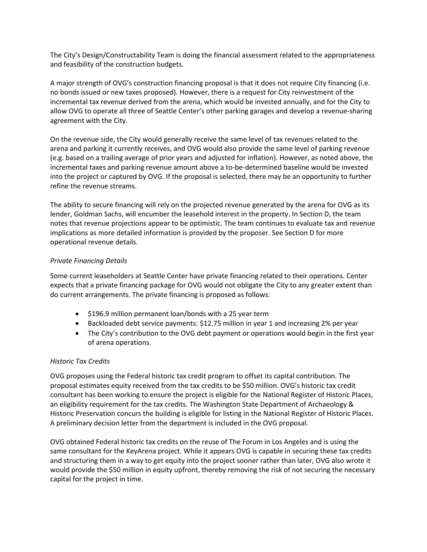The City's Design/Constructability Team is doing the financial assessment related to the appropriateness and feasibility of the construction budgets.

A major strength of OVG's construction financing proposal is that it does not require City financing (i.e. no bonds issued or new taxes proposed). However, there is a request for City reinvestment of the incremental tax revenue derived from the arena, which would be invested annually, and for the City to allow OVG to operate all three of Seattle Center's other parking garages and develop a revenue-sharing agreement with the City.

On the revenue side, the City would generally receive the same level of tax revenues related to the arena and parking it currently receives, and OVG would also provide the same level of parking revenue (e.g. based on a trailing average of prior years and adjusted for inflation). However, as noted above, the incremental taxes and parking revenue amount above a to-be-determined baseline would be invested into the project or captured by OVG. If the proposal is selected, there may be an opportunity to further refine the revenue streams.

The ability to secure financing will rely on the projected revenue generated by the arena for OVG as its lender, Goldman Sachs, will encumber the leasehold interest in the property. In Section D, the team notes that revenue projections appear to be optimistic. The team continues to evaluate tax and revenue implications as more detailed information is provided by the proposer. See Section D for more operational revenue details.

## *Private Financing Details*

Some current leaseholders at Seattle Center have private financing related to their operations. Center expects that a private financing package for OVG would not obligate the City to any greater extent than do current arrangements. The private financing is proposed as follows:

- \$196.9 million permanent loan/bonds with a 25 year term
- Backloaded debt service payments: \$12.75 million in year 1 and increasing 2% per year
- The City's contribution to the OVG debt payment or operations would begin in the first year of arena operations.

### *Historic Tax Credits*

OVG proposes using the Federal historic tax credit program to offset its capital contribution. The proposal estimates equity received from the tax credits to be \$50 million. OVG's historic tax credit consultant has been working to ensure the project is eligible for the National Register of Historic Places, an eligibility requirement for the tax credits. The Washington State Department of Archaeology & Historic Preservation concurs the building is eligible for listing in the National Register of Historic Places. A preliminary decision letter from the department is included in the OVG proposal.

OVG obtained Federal historic tax credits on the reuse of The Forum in Los Angeles and is using the same consultant for the KeyArena project. While it appears OVG is capable in securing these tax credits and structuring them in a way to get equity into the project sooner rather than later, OVG also wrote it would provide the \$50 million in equity upfront, thereby removing the risk of not securing the necessary capital for the project in time.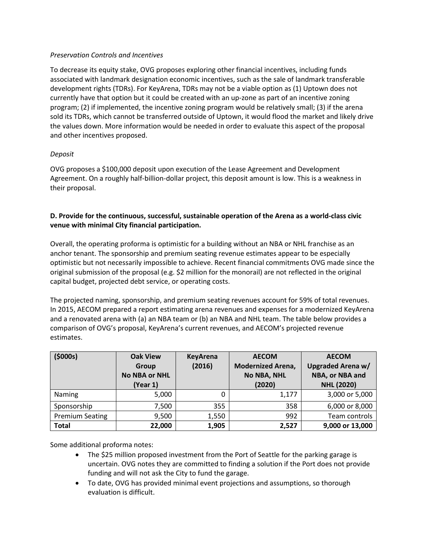### *Preservation Controls and Incentives*

To decrease its equity stake, OVG proposes exploring other financial incentives, including funds associated with landmark designation economic incentives, such as the sale of landmark transferable development rights (TDRs). For KeyArena, TDRs may not be a viable option as (1) Uptown does not currently have that option but it could be created with an up-zone as part of an incentive zoning program; (2) if implemented, the incentive zoning program would be relatively small; (3) if the arena sold its TDRs, which cannot be transferred outside of Uptown, it would flood the market and likely drive the values down. More information would be needed in order to evaluate this aspect of the proposal and other incentives proposed.

## *Deposit*

OVG proposes a \$100,000 deposit upon execution of the Lease Agreement and Development Agreement. On a roughly half-billion-dollar project, this deposit amount is low. This is a weakness in their proposal.

# **D. Provide for the continuous, successful, sustainable operation of the Arena as a world-class civic venue with minimal City financial participation.**

Overall, the operating proforma is optimistic for a building without an NBA or NHL franchise as an anchor tenant. The sponsorship and premium seating revenue estimates appear to be especially optimistic but not necessarily impossible to achieve. Recent financial commitments OVG made since the original submission of the proposal (e.g. \$2 million for the monorail) are not reflected in the original capital budget, projected debt service, or operating costs.

The projected naming, sponsorship, and premium seating revenues account for 59% of total revenues. In 2015, AECOM prepared a report estimating arena revenues and expenses for a modernized KeyArena and a renovated arena with (a) an NBA team or (b) an NBA and NHL team. The table below provides a comparison of OVG's proposal, KeyArena's current revenues, and AECOM's projected revenue estimates.

| (5000s)                | <b>Oak View</b><br>Group<br><b>No NBA or NHL</b><br>(Year 1) | <b>KeyArena</b><br>(2016) | <b>AECOM</b><br><b>Modernized Arena,</b><br><b>No NBA, NHL</b><br>(2020) | <b>AECOM</b><br>Upgraded Arena w/<br>NBA, or NBA and<br><b>NHL (2020)</b> |
|------------------------|--------------------------------------------------------------|---------------------------|--------------------------------------------------------------------------|---------------------------------------------------------------------------|
| Naming                 | 5,000                                                        | 0                         | 1,177                                                                    | 3,000 or 5,000                                                            |
| Sponsorship            | 7,500                                                        | 355                       | 358                                                                      | 6,000 or 8,000                                                            |
| <b>Premium Seating</b> | 9,500                                                        | 1,550                     | 992                                                                      | Team controls                                                             |
| <b>Total</b>           | 22,000                                                       | 1,905                     | 2,527                                                                    | 9,000 or 13,000                                                           |

Some additional proforma notes:

- The \$25 million proposed investment from the Port of Seattle for the parking garage is uncertain. OVG notes they are committed to finding a solution if the Port does not provide funding and will not ask the City to fund the garage.
- To date, OVG has provided minimal event projections and assumptions, so thorough evaluation is difficult.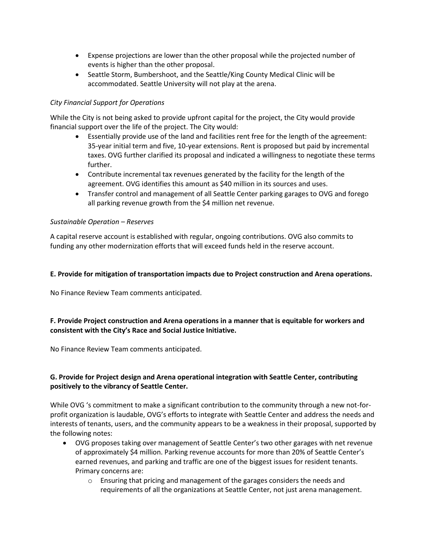- Expense projections are lower than the other proposal while the projected number of events is higher than the other proposal.
- Seattle Storm, Bumbershoot, and the Seattle/King County Medical Clinic will be accommodated. Seattle University will not play at the arena.

### *City Financial Support for Operations*

While the City is not being asked to provide upfront capital for the project, the City would provide financial support over the life of the project. The City would:

- Essentially provide use of the land and facilities rent free for the length of the agreement: 35-year initial term and five, 10-year extensions. Rent is proposed but paid by incremental taxes. OVG further clarified its proposal and indicated a willingness to negotiate these terms further.
- Contribute incremental tax revenues generated by the facility for the length of the agreement. OVG identifies this amount as \$40 million in its sources and uses.
- Transfer control and management of all Seattle Center parking garages to OVG and forego all parking revenue growth from the \$4 million net revenue.

### *Sustainable Operation – Reserves*

A capital reserve account is established with regular, ongoing contributions. OVG also commits to funding any other modernization efforts that will exceed funds held in the reserve account.

### **E. Provide for mitigation of transportation impacts due to Project construction and Arena operations.**

No Finance Review Team comments anticipated.

## **F. Provide Project construction and Arena operations in a manner that is equitable for workers and consistent with the City's Race and Social Justice Initiative.**

No Finance Review Team comments anticipated.

## **G. Provide for Project design and Arena operational integration with Seattle Center, contributing positively to the vibrancy of Seattle Center.**

While OVG 's commitment to make a significant contribution to the community through a new not-forprofit organization is laudable, OVG's efforts to integrate with Seattle Center and address the needs and interests of tenants, users, and the community appears to be a weakness in their proposal, supported by the following notes:

- OVG proposes taking over management of Seattle Center's two other garages with net revenue of approximately \$4 million. Parking revenue accounts for more than 20% of Seattle Center's earned revenues, and parking and traffic are one of the biggest issues for resident tenants. Primary concerns are:
	- o Ensuring that pricing and management of the garages considers the needs and requirements of all the organizations at Seattle Center, not just arena management.